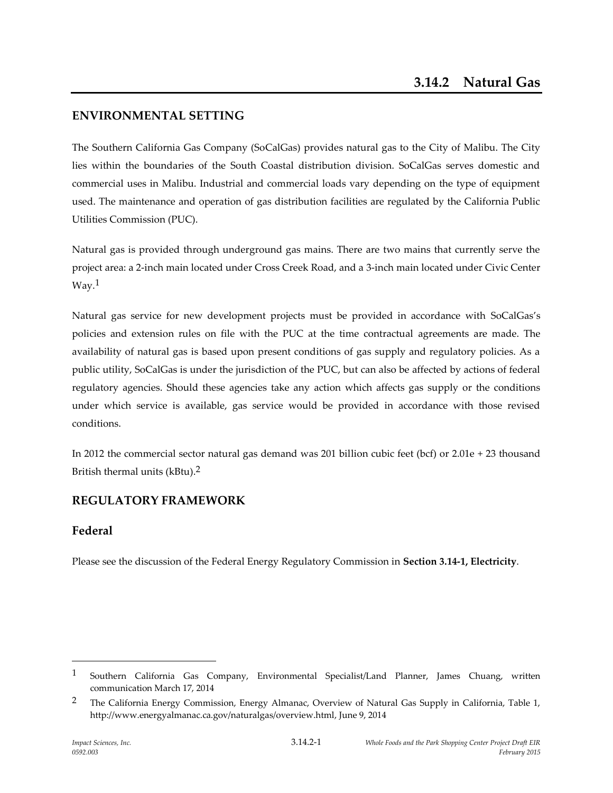# **ENVIRONMENTAL SETTING**

The Southern California Gas Company (SoCalGas) provides natural gas to the City of Malibu. The City lies within the boundaries of the South Coastal distribution division. SoCalGas serves domestic and commercial uses in Malibu. Industrial and commercial loads vary depending on the type of equipment used. The maintenance and operation of gas distribution facilities are regulated by the California Public Utilities Commission (PUC).

Natural gas is provided through underground gas mains. There are two mains that currently serve the project area: a 2-inch main located under Cross Creek Road, and a 3-inch main located under Civic Center Way.1

Natural gas service for new development projects must be provided in accordance with SoCalGas's policies and extension rules on file with the PUC at the time contractual agreements are made. The availability of natural gas is based upon present conditions of gas supply and regulatory policies. As a public utility, SoCalGas is under the jurisdiction of the PUC, but can also be affected by actions of federal regulatory agencies. Should these agencies take any action which affects gas supply or the conditions under which service is available, gas service would be provided in accordance with those revised conditions.

In 2012 the commercial sector natural gas demand was 201 billion cubic feet (bcf) or 2.01e + 23 thousand British thermal units (kBtu).2

# **REGULATORY FRAMEWORK**

# **Federal**

 $\overline{a}$ 

Please see the discussion of the Federal Energy Regulatory Commission in **Section 3.14-1, Electricity**.

<sup>1</sup> Southern California Gas Company, Environmental Specialist/Land Planner, James Chuang, written communication March 17, 2014

<sup>&</sup>lt;sup>2</sup> The California Energy Commission, Energy Almanac, Overview of Natural Gas Supply in California, Table 1, http://www.energyalmanac.ca.gov/naturalgas/overview.html, June 9, 2014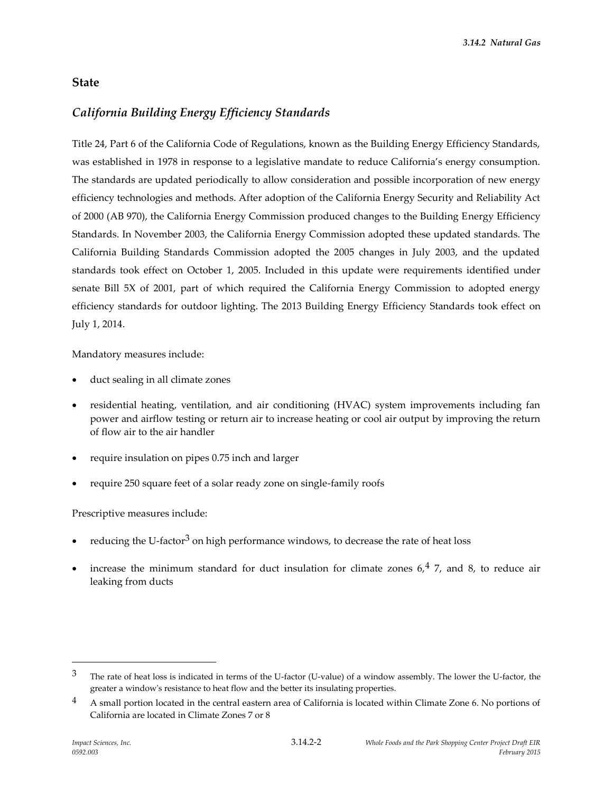# **State**

# *California Building Energy Efficiency Standards*

Title 24, Part 6 of the California Code of Regulations, known as the Building Energy Efficiency Standards, was established in 1978 in response to a legislative mandate to reduce California's energy consumption. The standards are updated periodically to allow consideration and possible incorporation of new energy efficiency technologies and methods. After adoption of the California Energy Security and Reliability Act of 2000 (AB 970), the California Energy Commission produced changes to the Building Energy Efficiency Standards. In November 2003, the California Energy Commission adopted these updated standards. The California Building Standards Commission adopted the 2005 changes in July 2003, and the updated standards took effect on October 1, 2005. Included in this update were requirements identified under senate Bill 5X of 2001, part of which required the California Energy Commission to adopted energy efficiency standards for outdoor lighting. The 2013 Building Energy Efficiency Standards took effect on July 1, 2014.

Mandatory measures include:

- duct sealing in all climate zones
- residential heating, ventilation, and air conditioning (HVAC) system improvements including fan power and airflow testing or return air to increase heating or cool air output by improving the return of flow air to the air handler
- require insulation on pipes 0.75 inch and larger
- require 250 square feet of a solar ready zone on single-family roofs

Prescriptive measures include:

- reducing the U-factor<sup>3</sup> on high performance windows, to decrease the rate of heat loss
- increase the minimum standard for duct insulation for climate zones  $6.4$  7, and 8, to reduce air leaking from ducts

1

 $3$  The rate of heat loss is indicated in terms of the U-factor (U-value) of a window assembly. The lower the U-factor, the greater a window's resistance to heat flow and the better its insulating properties.

<sup>&</sup>lt;sup>4</sup> A small portion located in the central eastern area of California is located within Climate Zone 6. No portions of California are located in Climate Zones 7 or 8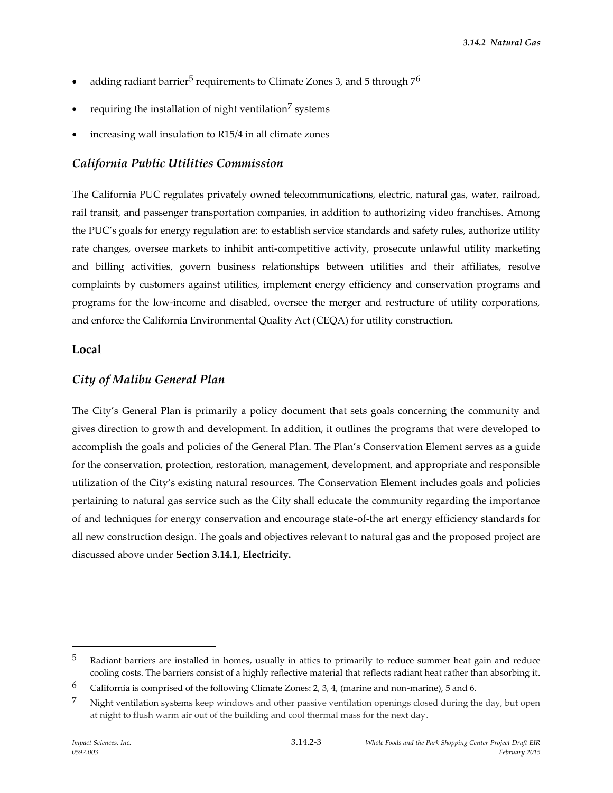- adding radiant barrier<sup>5</sup> requirements to Climate Zones 3, and 5 through  $7<sup>6</sup>$
- requiring the installation of night ventilation<sup>7</sup> systems
- increasing wall insulation to R15/4 in all climate zones

#### *California Public Utilities Commission*

The California PUC regulates privately owned telecommunications, electric, natural gas, water, railroad, rail transit, and passenger transportation companies, in addition to authorizing video franchises. Among the PUC's goals for energy regulation are: to establish service standards and safety rules, authorize utility rate changes, oversee markets to inhibit anti-competitive activity, prosecute unlawful utility marketing and billing activities, govern business relationships between utilities and their affiliates, resolve complaints by customers against utilities, implement energy efficiency and conservation programs and programs for the low-income and disabled, oversee the merger and restructure of utility corporations, and enforce the California Environmental Quality Act (CEQA) for utility construction.

#### **Local**

#### *City of Malibu General Plan*

The City's General Plan is primarily a policy document that sets goals concerning the community and gives direction to growth and development. In addition, it outlines the programs that were developed to accomplish the goals and policies of the General Plan. The Plan's Conservation Element serves as a guide for the conservation, protection, restoration, management, development, and appropriate and responsible utilization of the City's existing natural resources. The Conservation Element includes goals and policies pertaining to natural gas service such as the City shall educate the community regarding the importance of and techniques for energy conservation and encourage state-of-the art energy efficiency standards for all new construction design. The goals and objectives relevant to natural gas and the proposed project are discussed above under **Section 3.14.1, Electricity.**

 $\overline{a}$ 

<sup>&</sup>lt;sup>5</sup> Radiant barriers are installed in homes, usually in attics to primarily to reduce summer heat gain and reduce cooling costs. The barriers consist of a highly reflective material that reflects radiant heat rather than absorbing it.

<sup>&</sup>lt;sup>6</sup> California is comprised of the following Climate Zones: 2, 3, 4, (marine and non-marine), 5 and 6.

<sup>7</sup> Night ventilation systems keep windows and other passive ventilation openings closed during the day, but open at night to flush warm air out of the building and cool thermal mass for the next day.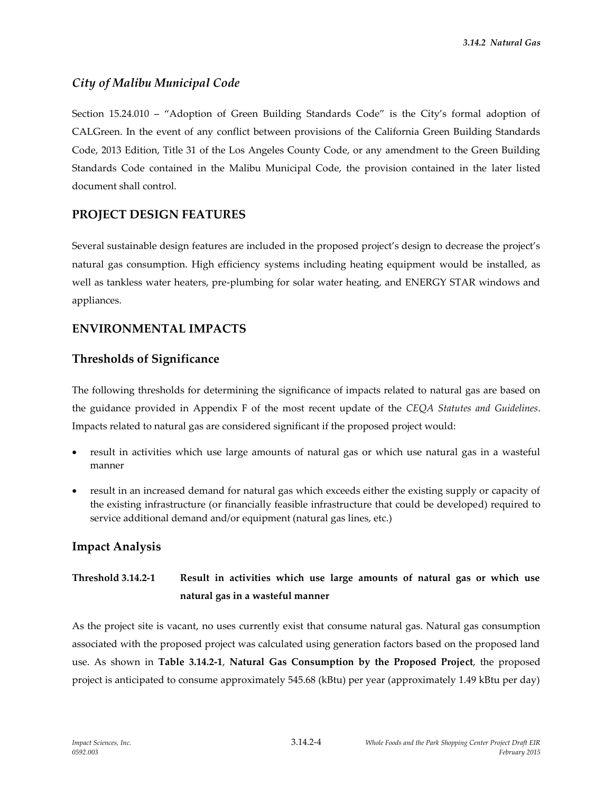# *City of Malibu Municipal Code*

Section 15.24.010 – "Adoption of Green Building Standards Code" is the City's formal adoption of CALGreen. In the event of any conflict between provisions of the California Green Building Standards Code, 2013 Edition, Title 31 of the Los Angeles County Code, or any amendment to the Green Building Standards Code contained in the Malibu Municipal Code, the provision contained in the later listed document shall control.

## **PROJECT DESIGN FEATURES**

Several sustainable design features are included in the proposed project's design to decrease the project's natural gas consumption. High efficiency systems including heating equipment would be installed, as well as tankless water heaters, pre-plumbing for solar water heating, and ENERGY STAR windows and appliances.

## **ENVIRONMENTAL IMPACTS**

#### **Thresholds of Significance**

The following thresholds for determining the significance of impacts related to natural gas are based on the guidance provided in Appendix F of the most recent update of the *CEQA Statutes and Guidelines*. Impacts related to natural gas are considered significant if the proposed project would:

- result in activities which use large amounts of natural gas or which use natural gas in a wasteful manner
- result in an increased demand for natural gas which exceeds either the existing supply or capacity of the existing infrastructure (or financially feasible infrastructure that could be developed) required to service additional demand and/or equipment (natural gas lines, etc.)

#### **Impact Analysis**

# **Threshold 3.14.2-1 Result in activities which use large amounts of natural gas or which use natural gas in a wasteful manner**

As the project site is vacant, no uses currently exist that consume natural gas. Natural gas consumption associated with the proposed project was calculated using generation factors based on the proposed land use. As shown in **Table 3.14.2-1**, **Natural Gas Consumption by the Proposed Project**, the proposed project is anticipated to consume approximately 545.68 (kBtu) per year (approximately 1.49 kBtu per day)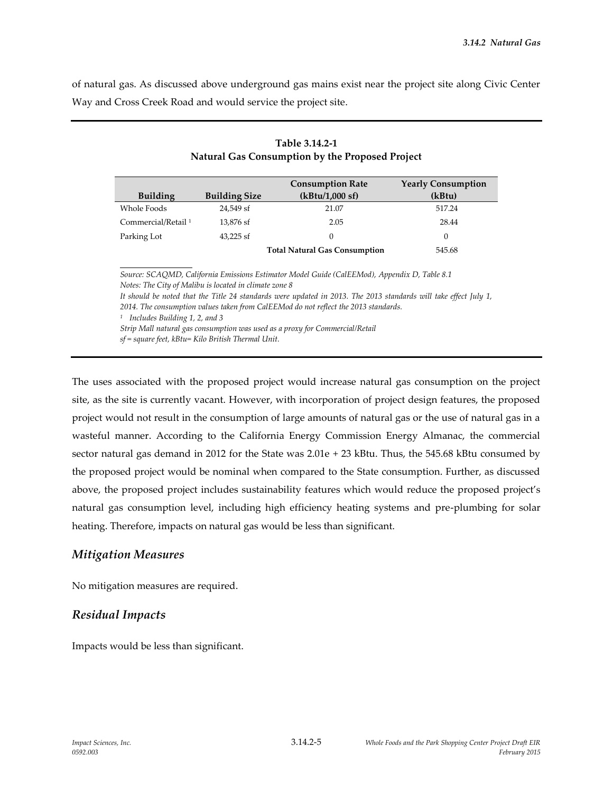of natural gas. As discussed above underground gas mains exist near the project site along Civic Center Way and Cross Creek Road and would service the project site.

|                                |                      | <b>Consumption Rate</b>              | <b>Yearly Consumption</b> |
|--------------------------------|----------------------|--------------------------------------|---------------------------|
| <b>Building</b>                | <b>Building Size</b> | (kBtu/1,000 sf)                      | (kBtu)                    |
| Whole Foods                    | 24.549 sf            | 21.07                                | 517.24                    |
| Commercial/Retail <sup>1</sup> | 13.876 sf            | 2.05                                 | 28.44                     |
| Parking Lot                    | $43.225$ sf          | $\Omega$                             | 0                         |
|                                |                      | <b>Total Natural Gas Consumption</b> | 545.68                    |

| Table 3.14.2-1                                  |
|-------------------------------------------------|
| Natural Gas Consumption by the Proposed Project |

*Source: SCAQMD, California Emissions Estimator Model Guide (CalEEMod), Appendix D, Table 8.1 Notes: The City of Malibu is located in climate zone 8 It should be noted that the Title 24 standards were updated in 2013. The 2013 standards will take effect July 1, 2014. The consumption values taken from CalEEMod do not reflect the 2013 standards.*

*1 Includes Building 1, 2, and 3*

*Strip Mall natural gas consumption was used as a proxy for Commercial/Retail*

*sf = square feet, kBtu= Kilo British Thermal Unit.*

The uses associated with the proposed project would increase natural gas consumption on the project site, as the site is currently vacant. However, with incorporation of project design features, the proposed project would not result in the consumption of large amounts of natural gas or the use of natural gas in a wasteful manner. According to the California Energy Commission Energy Almanac, the commercial sector natural gas demand in 2012 for the State was 2.01e + 23 kBtu. Thus, the 545.68 kBtu consumed by the proposed project would be nominal when compared to the State consumption. Further, as discussed above, the proposed project includes sustainability features which would reduce the proposed project's natural gas consumption level, including high efficiency heating systems and pre-plumbing for solar heating. Therefore, impacts on natural gas would be less than significant.

#### *Mitigation Measures*

No mitigation measures are required.

#### *Residual Impacts*

Impacts would be less than significant.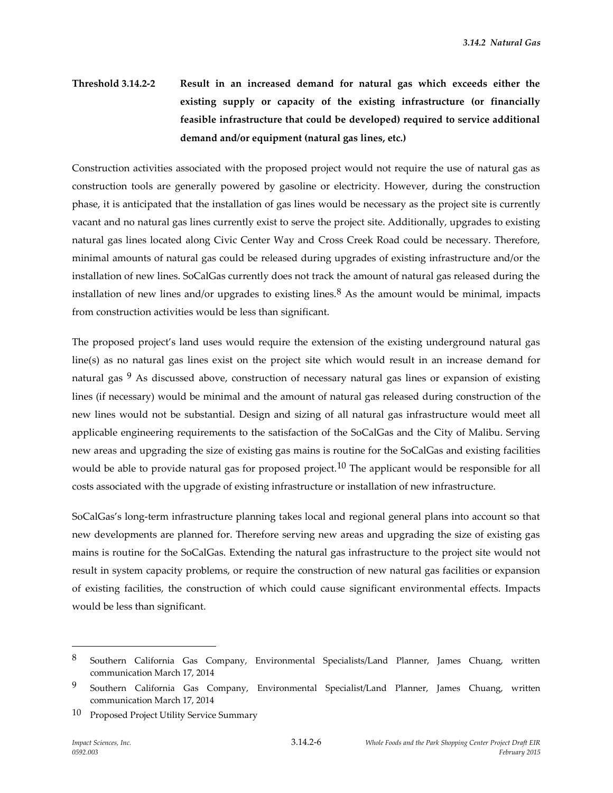# **Threshold 3.14.2-2 Result in an increased demand for natural gas which exceeds either the existing supply or capacity of the existing infrastructure (or financially feasible infrastructure that could be developed) required to service additional demand and/or equipment (natural gas lines, etc.)**

Construction activities associated with the proposed project would not require the use of natural gas as construction tools are generally powered by gasoline or electricity. However, during the construction phase, it is anticipated that the installation of gas lines would be necessary as the project site is currently vacant and no natural gas lines currently exist to serve the project site. Additionally, upgrades to existing natural gas lines located along Civic Center Way and Cross Creek Road could be necessary. Therefore, minimal amounts of natural gas could be released during upgrades of existing infrastructure and/or the installation of new lines. SoCalGas currently does not track the amount of natural gas released during the installation of new lines and/or upgrades to existing lines. $8$  As the amount would be minimal, impacts from construction activities would be less than significant.

The proposed project's land uses would require the extension of the existing underground natural gas line(s) as no natural gas lines exist on the project site which would result in an increase demand for natural gas <sup>9</sup> As discussed above, construction of necessary natural gas lines or expansion of existing lines (if necessary) would be minimal and the amount of natural gas released during construction of the new lines would not be substantial. Design and sizing of all natural gas infrastructure would meet all applicable engineering requirements to the satisfaction of the SoCalGas and the City of Malibu. Serving new areas and upgrading the size of existing gas mains is routine for the SoCalGas and existing facilities would be able to provide natural gas for proposed project.<sup>10</sup> The applicant would be responsible for all costs associated with the upgrade of existing infrastructure or installation of new infrastructure.

SoCalGas's long-term infrastructure planning takes local and regional general plans into account so that new developments are planned for. Therefore serving new areas and upgrading the size of existing gas mains is routine for the SoCalGas. Extending the natural gas infrastructure to the project site would not result in system capacity problems, or require the construction of new natural gas facilities or expansion of existing facilities, the construction of which could cause significant environmental effects. Impacts would be less than significant.

 $\overline{a}$ 

<sup>8</sup> Southern California Gas Company, Environmental Specialists/Land Planner, James Chuang, written communication March 17, 2014

<sup>9</sup> Southern California Gas Company, Environmental Specialist/Land Planner, James Chuang, written communication March 17, 2014

<sup>10</sup> Proposed Project Utility Service Summary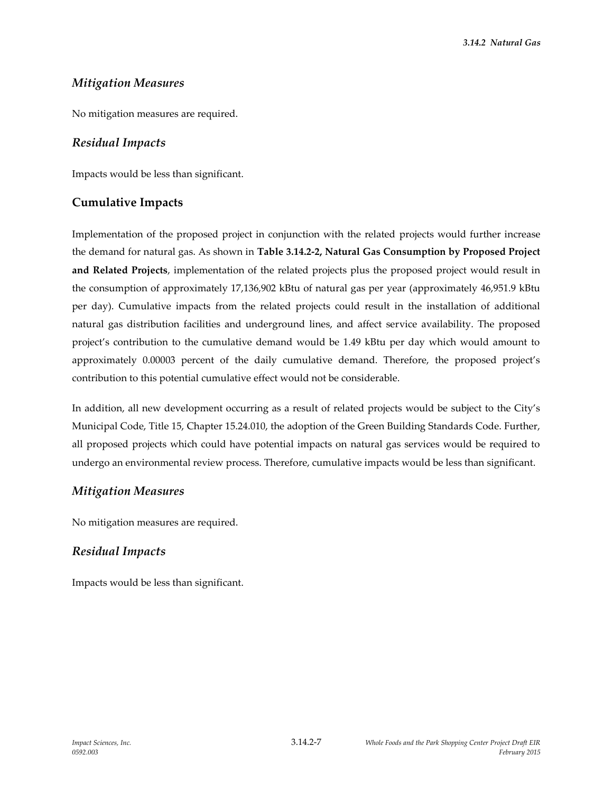# *Mitigation Measures*

No mitigation measures are required.

#### *Residual Impacts*

Impacts would be less than significant.

#### **Cumulative Impacts**

Implementation of the proposed project in conjunction with the related projects would further increase the demand for natural gas. As shown in **Table 3.14.2-2, Natural Gas Consumption by Proposed Project and Related Projects**, implementation of the related projects plus the proposed project would result in the consumption of approximately 17,136,902 kBtu of natural gas per year (approximately 46,951.9 kBtu per day). Cumulative impacts from the related projects could result in the installation of additional natural gas distribution facilities and underground lines, and affect service availability. The proposed project's contribution to the cumulative demand would be 1.49 kBtu per day which would amount to approximately 0.00003 percent of the daily cumulative demand. Therefore, the proposed project's contribution to this potential cumulative effect would not be considerable.

In addition, all new development occurring as a result of related projects would be subject to the City's Municipal Code, Title 15, Chapter 15.24.010, the adoption of the Green Building Standards Code. Further, all proposed projects which could have potential impacts on natural gas services would be required to undergo an environmental review process. Therefore, cumulative impacts would be less than significant.

#### *Mitigation Measures*

No mitigation measures are required.

#### *Residual Impacts*

Impacts would be less than significant.